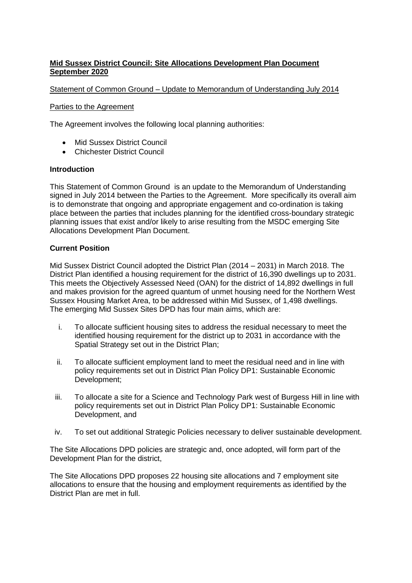# **Mid Sussex District Council: Site Allocations Development Plan Document September 2020**

# Statement of Common Ground – Update to Memorandum of Understanding July 2014

### Parties to the Agreement

The Agreement involves the following local planning authorities:

- Mid Sussex District Council
- Chichester District Council

## **Introduction**

This Statement of Common Ground is an update to the Memorandum of Understanding signed in July 2014 between the Parties to the Agreement. More specifically its overall aim is to demonstrate that ongoing and appropriate engagement and co-ordination is taking place between the parties that includes planning for the identified cross-boundary strategic planning issues that exist and/or likely to arise resulting from the MSDC emerging Site Allocations Development Plan Document.

## **Current Position**

Mid Sussex District Council adopted the District Plan (2014 – 2031) in March 2018. The District Plan identified a housing requirement for the district of 16,390 dwellings up to 2031. This meets the Objectively Assessed Need (OAN) for the district of 14,892 dwellings in full and makes provision for the agreed quantum of unmet housing need for the Northern West Sussex Housing Market Area, to be addressed within Mid Sussex, of 1,498 dwellings. The emerging Mid Sussex Sites DPD has four main aims, which are:

- i. To allocate sufficient housing sites to address the residual necessary to meet the identified housing requirement for the district up to 2031 in accordance with the Spatial Strategy set out in the District Plan;
- ii. To allocate sufficient employment land to meet the residual need and in line with policy requirements set out in District Plan Policy DP1: Sustainable Economic Development;
- iii. To allocate a site for a Science and Technology Park west of Burgess Hill in line with policy requirements set out in District Plan Policy DP1: Sustainable Economic Development, and
- iv. To set out additional Strategic Policies necessary to deliver sustainable development.

The Site Allocations DPD policies are strategic and, once adopted, will form part of the Development Plan for the district,

The Site Allocations DPD proposes 22 housing site allocations and 7 employment site allocations to ensure that the housing and employment requirements as identified by the District Plan are met in full.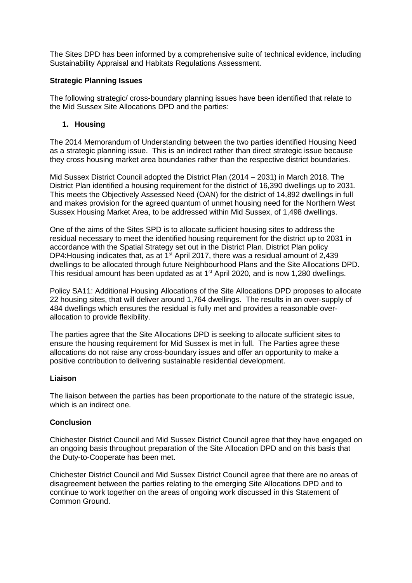The Sites DPD has been informed by a comprehensive suite of technical evidence, including Sustainability Appraisal and Habitats Regulations Assessment.

# **Strategic Planning Issues**

The following strategic/ cross-boundary planning issues have been identified that relate to the Mid Sussex Site Allocations DPD and the parties:

# **1. Housing**

The 2014 Memorandum of Understanding between the two parties identified Housing Need as a strategic planning issue. This is an indirect rather than direct strategic issue because they cross housing market area boundaries rather than the respective district boundaries.

Mid Sussex District Council adopted the District Plan (2014 – 2031) in March 2018. The District Plan identified a housing requirement for the district of 16,390 dwellings up to 2031. This meets the Objectively Assessed Need (OAN) for the district of 14,892 dwellings in full and makes provision for the agreed quantum of unmet housing need for the Northern West Sussex Housing Market Area, to be addressed within Mid Sussex, of 1,498 dwellings.

One of the aims of the Sites SPD is to allocate sufficient housing sites to address the residual necessary to meet the identified housing requirement for the district up to 2031 in accordance with the Spatial Strategy set out in the District Plan. District Plan policy DP4: Housing indicates that, as at  $1<sup>st</sup>$  April 2017, there was a residual amount of 2,439 dwellings to be allocated through future Neighbourhood Plans and the Site Allocations DPD. This residual amount has been updated as at 1<sup>st</sup> April 2020, and is now 1,280 dwellings.

Policy SA11: Additional Housing Allocations of the Site Allocations DPD proposes to allocate 22 housing sites, that will deliver around 1,764 dwellings. The results in an over-supply of 484 dwellings which ensures the residual is fully met and provides a reasonable overallocation to provide flexibility.

The parties agree that the Site Allocations DPD is seeking to allocate sufficient sites to ensure the housing requirement for Mid Sussex is met in full. The Parties agree these allocations do not raise any cross-boundary issues and offer an opportunity to make a positive contribution to delivering sustainable residential development.

#### **Liaison**

The liaison between the parties has been proportionate to the nature of the strategic issue, which is an indirect one.

#### **Conclusion**

Chichester District Council and Mid Sussex District Council agree that they have engaged on an ongoing basis throughout preparation of the Site Allocation DPD and on this basis that the Duty-to-Cooperate has been met.

Chichester District Council and Mid Sussex District Council agree that there are no areas of disagreement between the parties relating to the emerging Site Allocations DPD and to continue to work together on the areas of ongoing work discussed in this Statement of Common Ground.